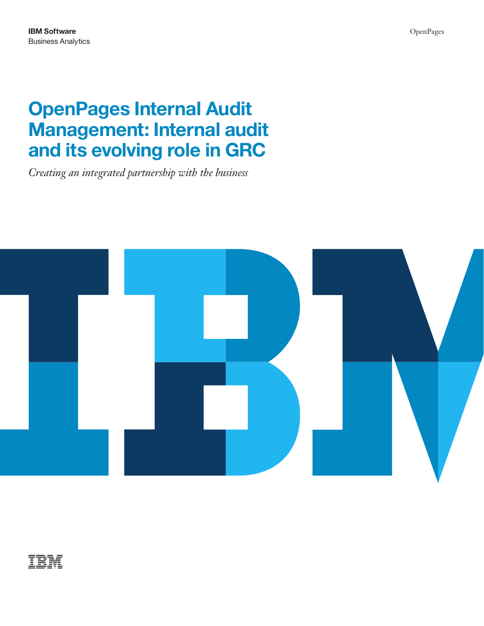# **OpenPages Internal Audit Management: Internal audit and its evolving role in GRC**

*Creating an integrated partnership with the business* 



# TRM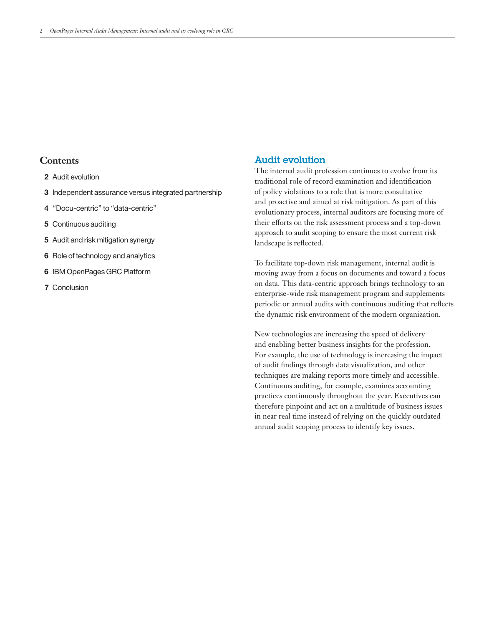### **Contents**

- **2** Audit evolution
- **3** Independent assurance versus integrated partnership
- **4** "Docu-centric" to "data-centric"
- **5** Continuous auditing
- **5** Audit and risk mitigation synergy
- **6** Role of technology and analytics
- **6** IBM OpenPages GRC Platform
- **7** Conclusion

#### Audit evolution

The internal audit profession continues to evolve from its traditional role of record examination and identification of policy violations to a role that is more consultative and proactive and aimed at risk mitigation. As part of this evolutionary process, internal auditors are focusing more of their efforts on the risk assessment process and a top-down approach to audit scoping to ensure the most current risk landscape is reflected.

To facilitate top-down risk management, internal audit is moving away from a focus on documents and toward a focus on data. This data-centric approach brings technology to an enterprise-wide risk management program and supplements periodic or annual audits with continuous auditing that reflects the dynamic risk environment of the modern organization.

New technologies are increasing the speed of delivery and enabling better business insights for the profession. For example, the use of technology is increasing the impact of audit findings through data visualization, and other techniques are making reports more timely and accessible. Continuous auditing, for example, examines accounting practices continuously throughout the year. Executives can therefore pinpoint and act on a multitude of business issues in near real time instead of relying on the quickly outdated annual audit scoping process to identify key issues.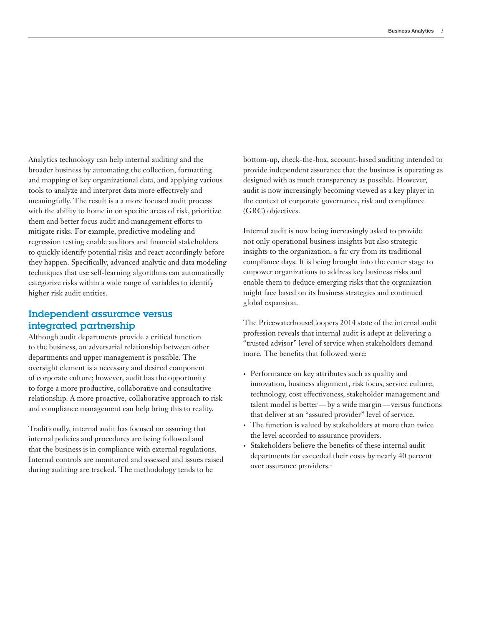Analytics technology can help internal auditing and the broader business by automating the collection, formatting and mapping of key organizational data, and applying various tools to analyze and interpret data more effectively and meaningfully. The result is a a more focused audit process with the ability to home in on specific areas of risk, prioritize them and better focus audit and management efforts to mitigate risks. For example, predictive modeling and regression testing enable auditors and financial stakeholders to quickly identify potential risks and react accordingly before they happen. Specifically, advanced analytic and data modeling techniques that use self-learning algorithms can automatically categorize risks within a wide range of variables to identify higher risk audit entities.

# Independent assurance versus integrated partnership

Although audit departments provide a critical function to the business, an adversarial relationship between other departments and upper management is possible. The oversight element is a necessary and desired component of corporate culture; however, audit has the opportunity to forge a more productive, collaborative and consultative relationship. A more proactive, collaborative approach to risk and compliance management can help bring this to reality.

Traditionally, internal audit has focused on assuring that internal policies and procedures are being followed and that the business is in compliance with external regulations. Internal controls are monitored and assessed and issues raised during auditing are tracked. The methodology tends to be

bottom-up, check-the-box, account-based auditing intended to provide independent assurance that the business is operating as designed with as much transparency as possible. However, audit is now increasingly becoming viewed as a key player in the context of corporate governance, risk and compliance (GRC) objectives.

Internal audit is now being increasingly asked to provide not only operational business insights but also strategic insights to the organization, a far cry from its traditional compliance days. It is being brought into the center stage to empower organizations to address key business risks and enable them to deduce emerging risks that the organization might face based on its business strategies and continued global expansion.

The PricewaterhouseCoopers 2014 state of the internal audit profession reveals that internal audit is adept at delivering a "trusted advisor" level of service when stakeholders demand more. The benefits that followed were:

- talent model is better by a wide margin —versus functions • Performance on key attributes such as quality and innovation, business alignment, risk focus, service culture, technology, cost effectiveness, stakeholder management and that deliver at an "assured provider" level of service.
- The function is valued by stakeholders at more than twice the level accorded to assurance providers.
- • Stakeholders believe the benefits of these internal audit departments far exceeded their costs by nearly 40 percent over assurance providers.1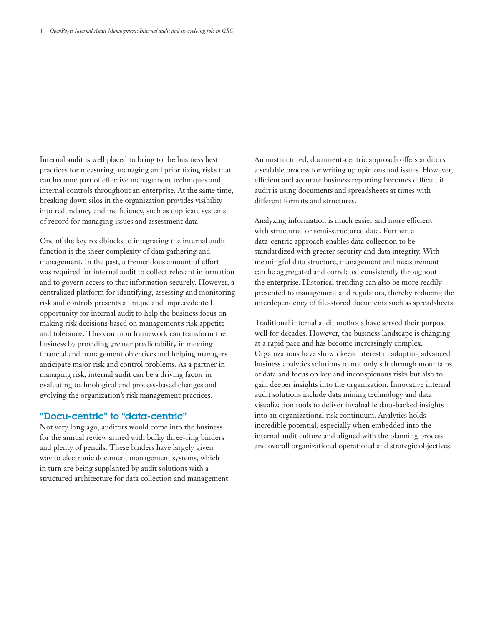Internal audit is well placed to bring to the business best practices for measuring, managing and prioritizing risks that can become part of effective management techniques and internal controls throughout an enterprise. At the same time, breaking down silos in the organization provides visibility into redundancy and inefficiency, such as duplicate systems of record for managing issues and assessment data.

One of the key roadblocks to integrating the internal audit function is the sheer complexity of data gathering and management. In the past, a tremendous amount of effort was required for internal audit to collect relevant information and to govern access to that information securely. However, a centralized platform for identifying, assessing and monitoring risk and controls presents a unique and unprecedented opportunity for internal audit to help the business focus on making risk decisions based on management's risk appetite and tolerance. This common framework can transform the business by providing greater predictability in meeting financial and management objectives and helping managers anticipate major risk and control problems. As a partner in managing risk, internal audit can be a driving factor in evaluating technological and process-based changes and evolving the organization's risk management practices.

#### "Docu-centric" to "data-centric"

Not very long ago, auditors would come into the business for the annual review armed with bulky three-ring binders and plenty of pencils. These binders have largely given way to electronic document management systems, which in turn are being supplanted by audit solutions with a structured architecture for data collection and management. An unstructured, document-centric approach offers auditors a scalable process for writing up opinions and issues. However, efficient and accurate business reporting becomes difficult if audit is using documents and spreadsheets at times with different formats and structures.

Analyzing information is much easier and more efficient with structured or semi-structured data. Further, a data-centric approach enables data collection to be standardized with greater security and data integrity. With meaningful data structure, management and measurement can be aggregated and correlated consistently throughout the enterprise. Historical trending can also be more readily presented to management and regulators, thereby reducing the interdependency of file-stored documents such as spreadsheets.

Traditional internal audit methods have served their purpose well for decades. However, the business landscape is changing at a rapid pace and has become increasingly complex. Organizations have shown keen interest in adopting advanced business analytics solutions to not only sift through mountains of data and focus on key and inconspicuous risks but also to gain deeper insights into the organization. Innovative internal audit solutions include data mining technology and data visualization tools to deliver invaluable data-backed insights into an organizational risk continuum. Analytics holds incredible potential, especially when embedded into the internal audit culture and aligned with the planning process and overall organizational operational and strategic objectives.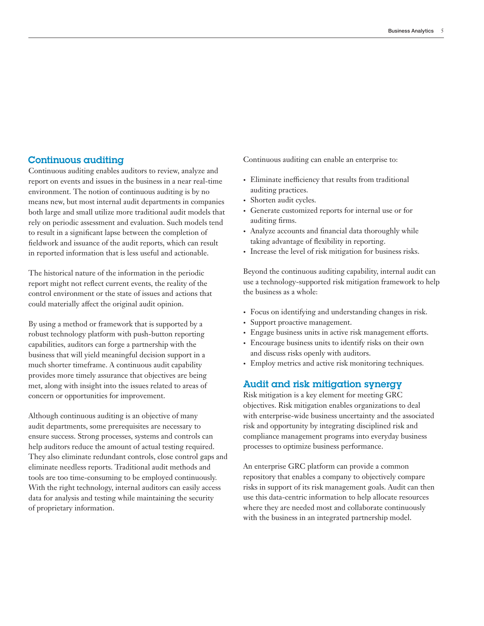#### Continuous auditing

Continuous auditing enables auditors to review, analyze and report on events and issues in the business in a near real-time environment. The notion of continuous auditing is by no means new, but most internal audit departments in companies both large and small utilize more traditional audit models that rely on periodic assessment and evaluation. Such models tend to result in a significant lapse between the completion of fieldwork and issuance of the audit reports, which can result in reported information that is less useful and actionable.

The historical nature of the information in the periodic report might not reflect current events, the reality of the control environment or the state of issues and actions that could materially affect the original audit opinion.

By using a method or framework that is supported by a robust technology platform with push-button reporting capabilities, auditors can forge a partnership with the business that will yield meaningful decision support in a much shorter timeframe. A continuous audit capability provides more timely assurance that objectives are being met, along with insight into the issues related to areas of concern or opportunities for improvement.

Although continuous auditing is an objective of many audit departments, some prerequisites are necessary to ensure success. Strong processes, systems and controls can help auditors reduce the amount of actual testing required. They also eliminate redundant controls, close control gaps and eliminate needless reports. Traditional audit methods and tools are too time-consuming to be employed continuously. With the right technology, internal auditors can easily access data for analysis and testing while maintaining the security of proprietary information.

Continuous auditing can enable an enterprise to:

- • Eliminate inefficiency that results from traditional auditing practices.
- Shorten audit cycles.
- • Generate customized reports for internal use or for auditing firms.
- Analyze accounts and financial data thoroughly while taking advantage of flexibility in reporting.
- • Increase the level of risk mitigation for business risks.

Beyond the continuous auditing capability, internal audit can use a technology-supported risk mitigation framework to help the business as a whole:

- • Focus on identifying and understanding changes in risk.
- • Support proactive management.
- • Engage business units in active risk management efforts.
- • Encourage business units to identify risks on their own and discuss risks openly with auditors.
- • Employ metrics and active risk monitoring techniques.

#### Audit and risk mitigation synergy

Risk mitigation is a key element for meeting GRC objectives. Risk mitigation enables organizations to deal with enterprise-wide business uncertainty and the associated risk and opportunity by integrating disciplined risk and compliance management programs into everyday business processes to optimize business performance.

An enterprise GRC platform can provide a common repository that enables a company to objectively compare risks in support of its risk management goals. Audit can then use this data-centric information to help allocate resources where they are needed most and collaborate continuously with the business in an integrated partnership model.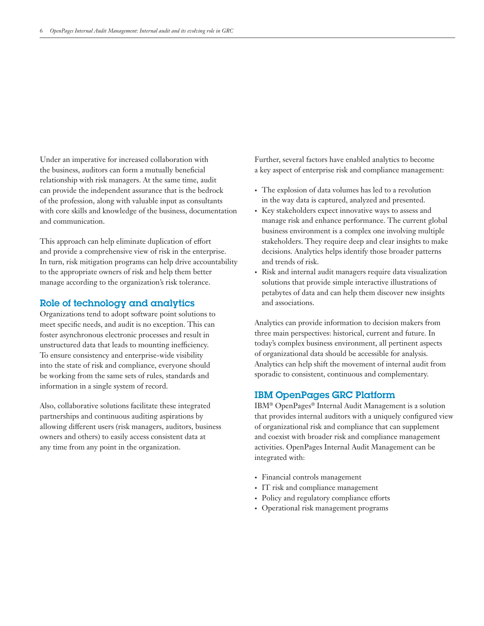Under an imperative for increased collaboration with the business, auditors can form a mutually beneficial relationship with risk managers. At the same time, audit can provide the independent assurance that is the bedrock of the profession, along with valuable input as consultants with core skills and knowledge of the business, documentation and communication.

This approach can help eliminate duplication of effort and provide a comprehensive view of risk in the enterprise. In turn, risk mitigation programs can help drive accountability to the appropriate owners of risk and help them better manage according to the organization's risk tolerance.

#### Role of technology and analytics

Organizations tend to adopt software point solutions to meet specific needs, and audit is no exception. This can foster asynchronous electronic processes and result in unstructured data that leads to mounting inefficiency. To ensure consistency and enterprise-wide visibility into the state of risk and compliance, everyone should be working from the same sets of rules, standards and information in a single system of record.

Also, collaborative solutions facilitate these integrated partnerships and continuous auditing aspirations by allowing different users (risk managers, auditors, business owners and others) to easily access consistent data at any time from any point in the organization.

Further, several factors have enabled analytics to become a key aspect of enterprise risk and compliance management:

- • The explosion of data volumes has led to a revolution in the way data is captured, analyzed and presented.
- Key stakeholders expect innovative ways to assess and manage risk and enhance performance. The current global business environment is a complex one involving multiple stakeholders. They require deep and clear insights to make decisions. Analytics helps identify those broader patterns and trends of risk.
- Risk and internal audit managers require data visualization solutions that provide simple interactive illustrations of petabytes of data and can help them discover new insights and associations.

Analytics can provide information to decision makers from three main perspectives: historical, current and future. In today's complex business environment, all pertinent aspects of organizational data should be accessible for analysis. Analytics can help shift the movement of internal audit from sporadic to consistent, continuous and complementary.

#### IBM OpenPages GRC Platform

IBM® OpenPages® Internal Audit Management is a solution that provides internal auditors with a uniquely configured view of organizational risk and compliance that can supplement and coexist with broader risk and compliance management activities. OpenPages Internal Audit Management can be integrated with:

- • Financial controls management
- IT risk and compliance management
- Policy and regulatory compliance efforts
- • Operational risk management programs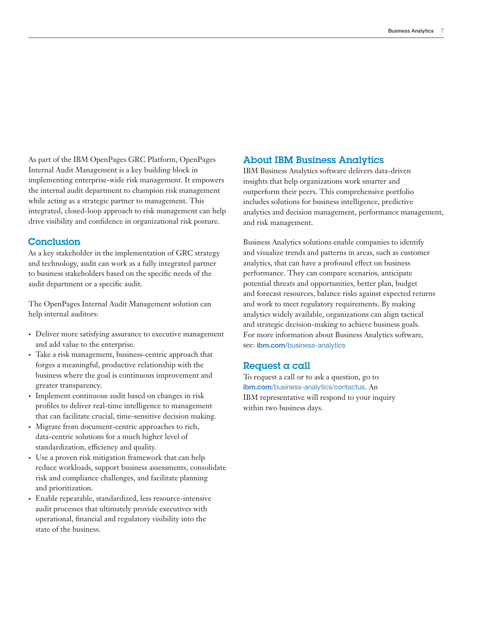As part of the IBM OpenPages GRC Platform, OpenPages Internal Audit Management is a key building block in implementing enterprise-wide risk management. It empowers the internal audit department to champion risk management while acting as a strategic partner to management. This integrated, closed-loop approach to risk management can help drive visibility and confidence in organizational risk posture.

#### **Conclusion**

As a key stakeholder in the implementation of GRC strategy and technology, audit can work as a fully integrated partner to business stakeholders based on the specific needs of the audit department or a specific audit.

The OpenPages Internal Audit Management solution can help internal auditors:

- Deliver more satisfying assurance to executive management and add value to the enterprise.
- • Take a risk management, business-centric approach that forges a meaningful, productive relationship with the business where the goal is continuous improvement and greater transparency.
- • Implement continuous audit based on changes in risk profiles to deliver real-time intelligence to management that can facilitate crucial, time-sensitive decision making.
- • Migrate from document-centric approaches to rich, data-centric solutions for a much higher level of standardization, efficiency and quality.
- • Use a proven risk mitigation framework that can help reduce workloads, support business assessments, consolidate risk and compliance challenges, and facilitate planning and prioritization.
- • Enable repeatable, standardized, less resource-intensive audit processes that ultimately provide executives with operational, financial and regulatory visibility into the state of the business.

## About IBM Business Analytics

IBM Business Analytics software delivers data-driven insights that help organizations work smarter and outperform their peers. This comprehensive portfolio includes solutions for business intelligence, predictive analytics and decision management, performance management, and risk management.

Business Analytics solutions enable companies to identify and visualize trends and patterns in areas, such as customer analytics, that can have a profound effect on business performance. They can compare scenarios, anticipate potential threats and opportunities, better plan, budget and forecast resources, balance risks against expected returns and work to meet regulatory requirements. By making analytics widely available, organizations can align tactical and strategic decision-making to achieve business goals. For more information about Business Analytics software, see: **ibm.com**[/business-analy tics](http://www.ibm.com/business-analytics)

#### Request a call

To request a call or to ask a question, go to **ibm.com**/business-analy tics/contactus. An IBM representative will respond to your inquiry within two business days.